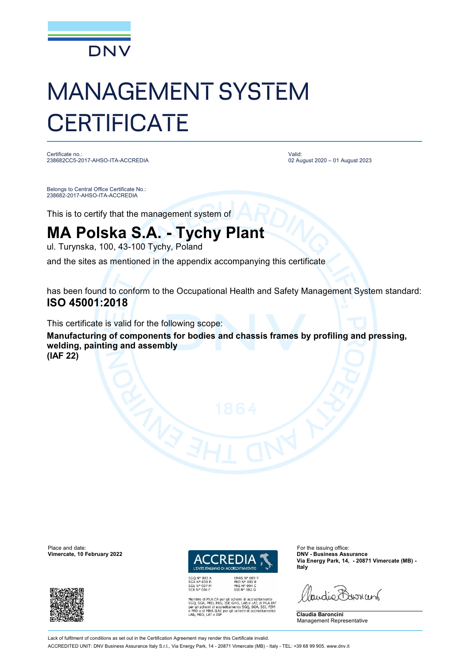

## MANAGEMENT SYSTEM **CERTIFICATE**

Certificate no.: 238682CC5-2017-AHSO-ITA-ACCREDIA Valid: 02 August 2020 – 01 August 2023

Belongs to Central Office Certificate No.: 238682-2017-AHSO-ITA-ACCREDIA

This is to certify that the management system of

## **MA Polska S.A. - Tychy Plant**

ul. Turynska, 100, 43-100 Tychy, Poland

and the sites as mentioned in the appendix accompanying this certificate

has been found to conform to the Occupational Health and Safety Management System standard: **ISO 45001:2018**

This certificate is valid for the following scope: **Manufacturing of components for bodies and chassis frames by profiling and pressing, welding, painting and assembly (IAF 22)**

Place and date: For the issuing office:<br> **Place and date:** For the issuing office:<br> **Place and date:** For the issuing office:<br> **Place and date:** For the issuing office:





EMAS Nº 009 P<br>PRD Nº 003 B<br>PRS Nº 094 C<br>SSI Nº 002 G ILA EA per gli schemi di accreditamento<br>PRD, PRS, ISP, GHG, LAB e LAT, di MLA IAF<br>ni di accreditamento SGQ, SGA, SSI, FSM<br>IRA ILAC per gli schemi di accreditamento<br>AT e ISP **Via Energy Park, 14, - 20871 Vimercate (MB) - Italy**

landie Barnant

**Claudia Baroncini** Management Representative

Lack of fulfilment of conditions as set out in the Certification Agreement may render this Certificate invalid.

ACCREDITED UNIT: DNV Business Assurance Italy S.r.l., Via Energy Park, 14 - 20871 Vimercate (MB) - Italy - TEL: +39 68 99 905. [www.dnv.it](http://www.dnv.it)